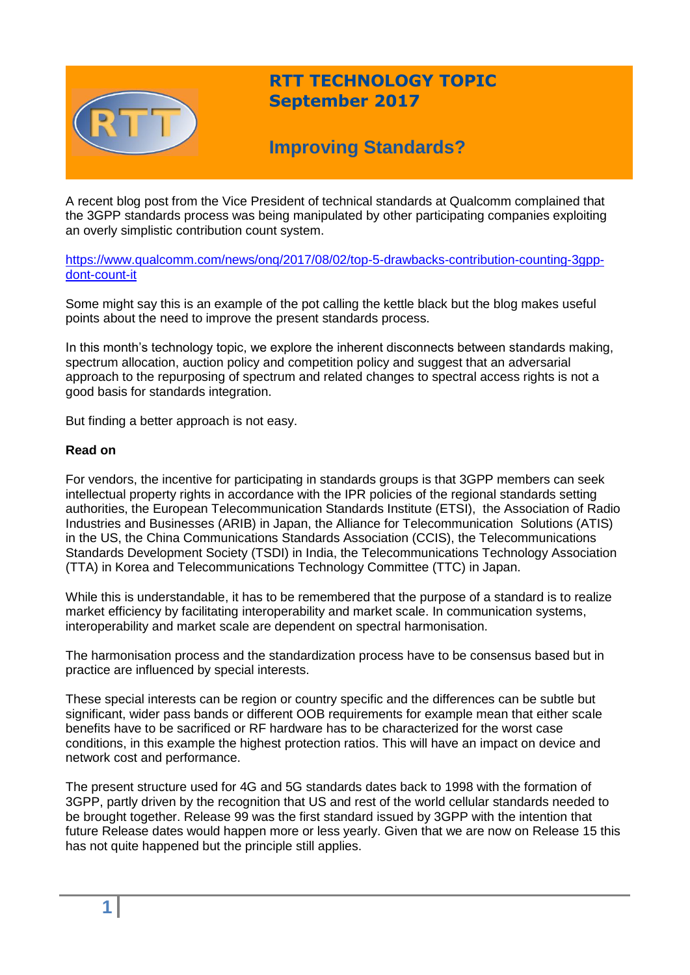

## **RTT TECHNOLOGY TOPIC September 2017**

# **Improving Standards?**

A recent blog post from the Vice President of technical standards at Qualcomm complained that the 3GPP standards process was being manipulated by other participating companies exploiting an overly simplistic contribution count system.

[https://www.qualcomm.com/news/onq/2017/08/02/top-5-drawbacks-contribution-counting-3gpp](https://www.qualcomm.com/news/onq/2017/08/02/top-5-drawbacks-contribution-counting-3gpp-dont-count-it)[dont-count-it](https://www.qualcomm.com/news/onq/2017/08/02/top-5-drawbacks-contribution-counting-3gpp-dont-count-it)

Some might say this is an example of the pot calling the kettle black but the blog makes useful points about the need to improve the present standards process.

In this month's technology topic, we explore the inherent disconnects between standards making, spectrum allocation, auction policy and competition policy and suggest that an adversarial approach to the repurposing of spectrum and related changes to spectral access rights is not a good basis for standards integration.

But finding a better approach is not easy.

### **Read on**

For vendors, the incentive for participating in standards groups is that 3GPP members can seek intellectual property rights in accordance with the IPR policies of the regional standards setting authorities, the European Telecommunication Standards Institute (ETSI), the Association of Radio Industries and Businesses (ARIB) in Japan, the Alliance for Telecommunication Solutions (ATIS) in the US, the China Communications Standards Association (CCIS), the Telecommunications Standards Development Society (TSDI) in India, the Telecommunications Technology Association (TTA) in Korea and Telecommunications Technology Committee (TTC) in Japan.

While this is understandable, it has to be remembered that the purpose of a standard is to realize market efficiency by facilitating interoperability and market scale. In communication systems, interoperability and market scale are dependent on spectral harmonisation.

The harmonisation process and the standardization process have to be consensus based but in practice are influenced by special interests.

These special interests can be region or country specific and the differences can be subtle but significant, wider pass bands or different OOB requirements for example mean that either scale benefits have to be sacrificed or RF hardware has to be characterized for the worst case conditions, in this example the highest protection ratios. This will have an impact on device and network cost and performance.

The present structure used for 4G and 5G standards dates back to 1998 with the formation of 3GPP, partly driven by the recognition that US and rest of the world cellular standards needed to be brought together. Release 99 was the first standard issued by 3GPP with the intention that future Release dates would happen more or less yearly. Given that we are now on Release 15 this has not quite happened but the principle still applies.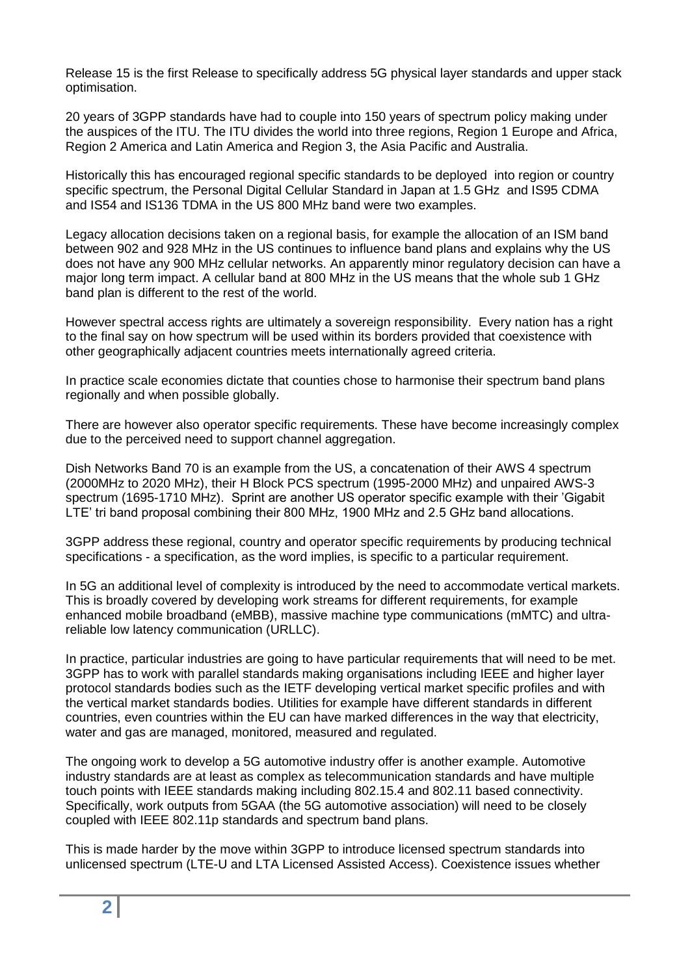Release 15 is the first Release to specifically address 5G physical layer standards and upper stack optimisation.

20 years of 3GPP standards have had to couple into 150 years of spectrum policy making under the auspices of the ITU. The ITU divides the world into three regions, Region 1 Europe and Africa, Region 2 America and Latin America and Region 3, the Asia Pacific and Australia.

Historically this has encouraged regional specific standards to be deployed into region or country specific spectrum, the Personal Digital Cellular Standard in Japan at 1.5 GHz and IS95 CDMA and IS54 and IS136 TDMA in the US 800 MHz band were two examples.

Legacy allocation decisions taken on a regional basis, for example the allocation of an ISM band between 902 and 928 MHz in the US continues to influence band plans and explains why the US does not have any 900 MHz cellular networks. An apparently minor regulatory decision can have a major long term impact. A cellular band at 800 MHz in the US means that the whole sub 1 GHz band plan is different to the rest of the world.

However spectral access rights are ultimately a sovereign responsibility. Every nation has a right to the final say on how spectrum will be used within its borders provided that coexistence with other geographically adjacent countries meets internationally agreed criteria.

In practice scale economies dictate that counties chose to harmonise their spectrum band plans regionally and when possible globally.

There are however also operator specific requirements. These have become increasingly complex due to the perceived need to support channel aggregation.

Dish Networks Band 70 is an example from the US, a concatenation of their AWS 4 spectrum (2000MHz to 2020 MHz), their H Block PCS spectrum (1995-2000 MHz) and unpaired AWS-3 spectrum (1695-1710 MHz). Sprint are another US operator specific example with their 'Gigabit LTE' tri band proposal combining their 800 MHz, 1900 MHz and 2.5 GHz band allocations.

3GPP address these regional, country and operator specific requirements by producing technical specifications - a specification, as the word implies, is specific to a particular requirement.

In 5G an additional level of complexity is introduced by the need to accommodate vertical markets. This is broadly covered by developing work streams for different requirements, for example enhanced mobile broadband (eMBB), massive machine type communications (mMTC) and ultrareliable low latency communication (URLLC).

In practice, particular industries are going to have particular requirements that will need to be met. 3GPP has to work with parallel standards making organisations including IEEE and higher layer protocol standards bodies such as the IETF developing vertical market specific profiles and with the vertical market standards bodies. Utilities for example have different standards in different countries, even countries within the EU can have marked differences in the way that electricity, water and gas are managed, monitored, measured and regulated.

The ongoing work to develop a 5G automotive industry offer is another example. Automotive industry standards are at least as complex as telecommunication standards and have multiple touch points with IEEE standards making including 802.15.4 and 802.11 based connectivity. Specifically, work outputs from 5GAA (the 5G automotive association) will need to be closely coupled with IEEE 802.11p standards and spectrum band plans.

This is made harder by the move within 3GPP to introduce licensed spectrum standards into unlicensed spectrum (LTE-U and LTA Licensed Assisted Access). Coexistence issues whether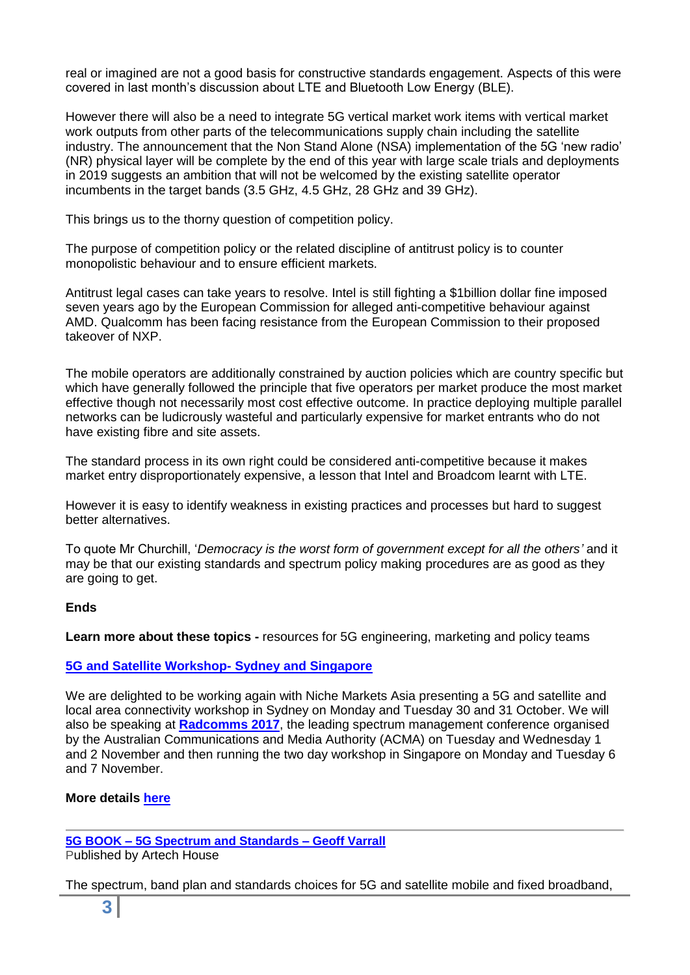real or imagined are not a good basis for constructive standards engagement. Aspects of this were covered in last month's discussion about LTE and Bluetooth Low Energy (BLE).

However there will also be a need to integrate 5G vertical market work items with vertical market work outputs from other parts of the telecommunications supply chain including the satellite industry. The announcement that the Non Stand Alone (NSA) implementation of the 5G 'new radio' (NR) physical layer will be complete by the end of this year with large scale trials and deployments in 2019 suggests an ambition that will not be welcomed by the existing satellite operator incumbents in the target bands (3.5 GHz, 4.5 GHz, 28 GHz and 39 GHz).

This brings us to the thorny question of competition policy.

The purpose of competition policy or the related discipline of antitrust policy is to counter monopolistic behaviour and to ensure efficient markets.

Antitrust legal cases can take years to resolve. Intel is still fighting a \$1billion dollar fine imposed seven years ago by the European Commission for alleged anti-competitive behaviour against AMD. Qualcomm has been facing resistance from the European Commission to their proposed takeover of NXP.

The mobile operators are additionally constrained by auction policies which are country specific but which have generally followed the principle that five operators per market produce the most market effective though not necessarily most cost effective outcome. In practice deploying multiple parallel networks can be ludicrously wasteful and particularly expensive for market entrants who do not have existing fibre and site assets.

The standard process in its own right could be considered anti-competitive because it makes market entry disproportionately expensive, a lesson that Intel and Broadcom learnt with LTE.

However it is easy to identify weakness in existing practices and processes but hard to suggest better alternatives.

To quote Mr Churchill, '*Democracy is the worst form of government except for all the others'* and it may be that our existing standards and spectrum policy making procedures are as good as they are going to get.

### **Ends**

**Learn more about these topics -** resources for 5G engineering, marketing and policy teams

### **[5G and Satellite Workshop-](http://www.rttonline.com/documents/5G%20and%20Satellite%20Version%203.4.compressed.pdf) Sydney and Singapore**

We are delighted to be working again with Niche Markets Asia presenting a 5G and satellite and local area connectivity workshop in Sydney on Monday and Tuesday 30 and 31 October. We will also be speaking at **[Radcomms 2017](http://acma.gov.au/theACMA/About/Events/Radcomms/radcomms-2017-join-us)**, the leading spectrum management conference organised by the Australian Communications and Media Authority (ACMA) on Tuesday and Wednesday 1 and 2 November and then running the two day workshop in Singapore on Monday and Tuesday 6 and 7 November.

### **More details [here](http://www.rttonline.com/documents/5G%20and%20Satellite%20Version%203.4.compressed.pdf)**

### **5G BOOK – [5G Spectrum and Standards –](http://uk.artechhouse.com/5G-Spectrum-and-Standards-P1805.aspx) Geoff Varrall**

Published by Artech House

The spectrum, band plan and standards choices for 5G and satellite mobile and fixed broadband,